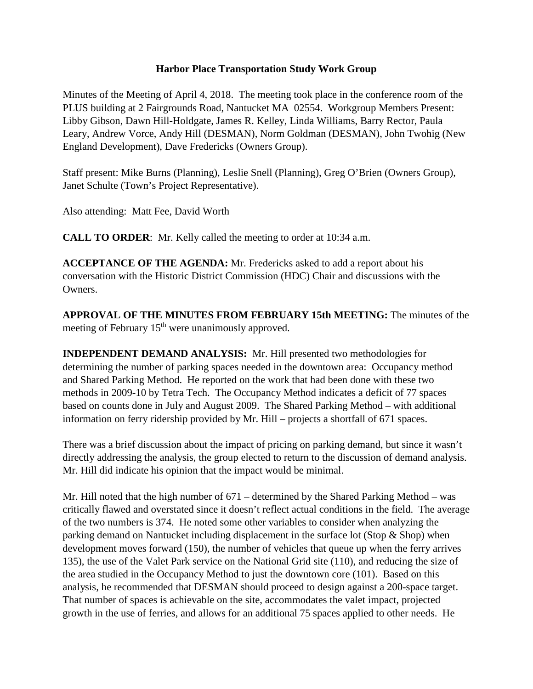## **Harbor Place Transportation Study Work Group**

Minutes of the Meeting of April 4, 2018. The meeting took place in the conference room of the PLUS building at 2 Fairgrounds Road, Nantucket MA 02554. Workgroup Members Present: Libby Gibson, Dawn Hill-Holdgate, James R. Kelley, Linda Williams, Barry Rector, Paula Leary, Andrew Vorce, Andy Hill (DESMAN), Norm Goldman (DESMAN), John Twohig (New England Development), Dave Fredericks (Owners Group).

Staff present: Mike Burns (Planning), Leslie Snell (Planning), Greg O'Brien (Owners Group), Janet Schulte (Town's Project Representative).

Also attending: Matt Fee, David Worth

**CALL TO ORDER**: Mr. Kelly called the meeting to order at 10:34 a.m.

**ACCEPTANCE OF THE AGENDA:** Mr. Fredericks asked to add a report about his conversation with the Historic District Commission (HDC) Chair and discussions with the Owners.

**APPROVAL OF THE MINUTES FROM FEBRUARY 15th MEETING:** The minutes of the meeting of February 15<sup>th</sup> were unanimously approved.

**INDEPENDENT DEMAND ANALYSIS:** Mr. Hill presented two methodologies for determining the number of parking spaces needed in the downtown area: Occupancy method and Shared Parking Method. He reported on the work that had been done with these two methods in 2009-10 by Tetra Tech. The Occupancy Method indicates a deficit of 77 spaces based on counts done in July and August 2009. The Shared Parking Method – with additional information on ferry ridership provided by Mr. Hill – projects a shortfall of 671 spaces.

There was a brief discussion about the impact of pricing on parking demand, but since it wasn't directly addressing the analysis, the group elected to return to the discussion of demand analysis. Mr. Hill did indicate his opinion that the impact would be minimal.

Mr. Hill noted that the high number of 671 – determined by the Shared Parking Method – was critically flawed and overstated since it doesn't reflect actual conditions in the field. The average of the two numbers is 374. He noted some other variables to consider when analyzing the parking demand on Nantucket including displacement in the surface lot (Stop & Shop) when development moves forward (150), the number of vehicles that queue up when the ferry arrives 135), the use of the Valet Park service on the National Grid site (110), and reducing the size of the area studied in the Occupancy Method to just the downtown core (101). Based on this analysis, he recommended that DESMAN should proceed to design against a 200-space target. That number of spaces is achievable on the site, accommodates the valet impact, projected growth in the use of ferries, and allows for an additional 75 spaces applied to other needs. He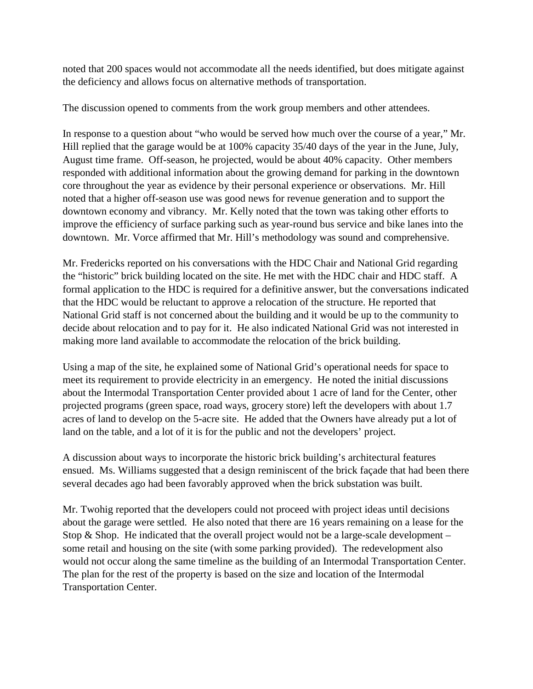noted that 200 spaces would not accommodate all the needs identified, but does mitigate against the deficiency and allows focus on alternative methods of transportation.

The discussion opened to comments from the work group members and other attendees.

In response to a question about "who would be served how much over the course of a year," Mr. Hill replied that the garage would be at 100% capacity 35/40 days of the year in the June, July, August time frame. Off-season, he projected, would be about 40% capacity. Other members responded with additional information about the growing demand for parking in the downtown core throughout the year as evidence by their personal experience or observations. Mr. Hill noted that a higher off-season use was good news for revenue generation and to support the downtown economy and vibrancy. Mr. Kelly noted that the town was taking other efforts to improve the efficiency of surface parking such as year-round bus service and bike lanes into the downtown. Mr. Vorce affirmed that Mr. Hill's methodology was sound and comprehensive.

Mr. Fredericks reported on his conversations with the HDC Chair and National Grid regarding the "historic" brick building located on the site. He met with the HDC chair and HDC staff. A formal application to the HDC is required for a definitive answer, but the conversations indicated that the HDC would be reluctant to approve a relocation of the structure. He reported that National Grid staff is not concerned about the building and it would be up to the community to decide about relocation and to pay for it. He also indicated National Grid was not interested in making more land available to accommodate the relocation of the brick building.

Using a map of the site, he explained some of National Grid's operational needs for space to meet its requirement to provide electricity in an emergency. He noted the initial discussions about the Intermodal Transportation Center provided about 1 acre of land for the Center, other projected programs (green space, road ways, grocery store) left the developers with about 1.7 acres of land to develop on the 5-acre site. He added that the Owners have already put a lot of land on the table, and a lot of it is for the public and not the developers' project.

A discussion about ways to incorporate the historic brick building's architectural features ensued. Ms. Williams suggested that a design reminiscent of the brick façade that had been there several decades ago had been favorably approved when the brick substation was built.

Mr. Twohig reported that the developers could not proceed with project ideas until decisions about the garage were settled. He also noted that there are 16 years remaining on a lease for the Stop & Shop. He indicated that the overall project would not be a large-scale development – some retail and housing on the site (with some parking provided). The redevelopment also would not occur along the same timeline as the building of an Intermodal Transportation Center. The plan for the rest of the property is based on the size and location of the Intermodal Transportation Center.